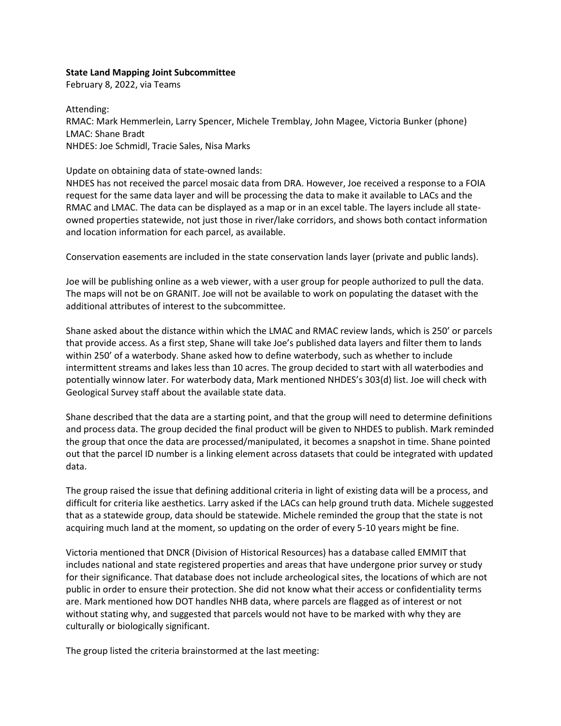## **State Land Mapping Joint Subcommittee**

February 8, 2022, via Teams

Attending: RMAC: Mark Hemmerlein, Larry Spencer, Michele Tremblay, John Magee, Victoria Bunker (phone) LMAC: Shane Bradt NHDES: Joe Schmidl, Tracie Sales, Nisa Marks

Update on obtaining data of state-owned lands:

NHDES has not received the parcel mosaic data from DRA. However, Joe received a response to a FOIA request for the same data layer and will be processing the data to make it available to LACs and the RMAC and LMAC. The data can be displayed as a map or in an excel table. The layers include all stateowned properties statewide, not just those in river/lake corridors, and shows both contact information and location information for each parcel, as available.

Conservation easements are included in the state conservation lands layer (private and public lands).

Joe will be publishing online as a web viewer, with a user group for people authorized to pull the data. The maps will not be on GRANIT. Joe will not be available to work on populating the dataset with the additional attributes of interest to the subcommittee.

Shane asked about the distance within which the LMAC and RMAC review lands, which is 250' or parcels that provide access. As a first step, Shane will take Joe's published data layers and filter them to lands within 250' of a waterbody. Shane asked how to define waterbody, such as whether to include intermittent streams and lakes less than 10 acres. The group decided to start with all waterbodies and potentially winnow later. For waterbody data, Mark mentioned NHDES's 303(d) list. Joe will check with Geological Survey staff about the available state data.

Shane described that the data are a starting point, and that the group will need to determine definitions and process data. The group decided the final product will be given to NHDES to publish. Mark reminded the group that once the data are processed/manipulated, it becomes a snapshot in time. Shane pointed out that the parcel ID number is a linking element across datasets that could be integrated with updated data.

The group raised the issue that defining additional criteria in light of existing data will be a process, and difficult for criteria like aesthetics. Larry asked if the LACs can help ground truth data. Michele suggested that as a statewide group, data should be statewide. Michele reminded the group that the state is not acquiring much land at the moment, so updating on the order of every 5-10 years might be fine.

Victoria mentioned that DNCR (Division of Historical Resources) has a database called EMMIT that includes national and state registered properties and areas that have undergone prior survey or study for their significance. That database does not include archeological sites, the locations of which are not public in order to ensure their protection. She did not know what their access or confidentiality terms are. Mark mentioned how DOT handles NHB data, where parcels are flagged as of interest or not without stating why, and suggested that parcels would not have to be marked with why they are culturally or biologically significant.

The group listed the criteria brainstormed at the last meeting: